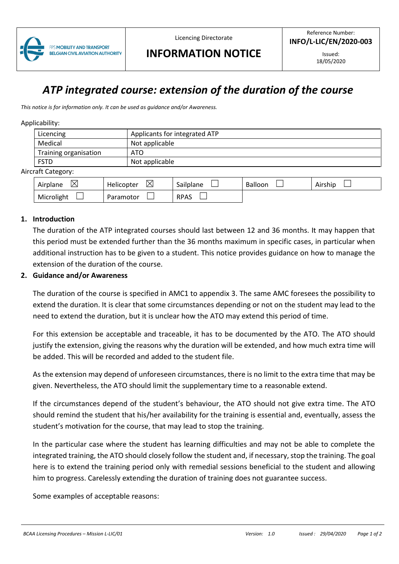

Licencing Directorate

# **INFORMATION NOTICE**

Issued: 18/05/2020

# *ATP integrated course: extension of the duration of the course*

*This notice is for information only. It can be used as guidance and/or Awareness.*

#### Applicability:

|                               | Applicants for integrated ATP<br>Licencing |                |  |  |  |  |  |
|-------------------------------|--------------------------------------------|----------------|--|--|--|--|--|
|                               | Medical                                    | Not applicable |  |  |  |  |  |
|                               | Training organisation                      | ATO            |  |  |  |  |  |
| <b>FSTD</b><br>Not applicable |                                            |                |  |  |  |  |  |
| Aircraft Category:            |                                            |                |  |  |  |  |  |
|                               |                                            |                |  |  |  |  |  |

| ↖<br>Airplane<br>⌒ | ↖<br>Helicopter<br>∞ | Sailplane   | Balloon | .<br>Airship |
|--------------------|----------------------|-------------|---------|--------------|
| Microlight         | Paramotor            | <b>RPAS</b> |         |              |

#### **1. Introduction**

The duration of the ATP integrated courses should last between 12 and 36 months. It may happen that this period must be extended further than the 36 months maximum in specific cases, in particular when additional instruction has to be given to a student. This notice provides guidance on how to manage the extension of the duration of the course.

### **2. Guidance and/or Awareness**

The duration of the course is specified in AMC1 to appendix 3. The same AMC foresees the possibility to extend the duration. It is clear that some circumstances depending or not on the student may lead to the need to extend the duration, but it is unclear how the ATO may extend this period of time.

For this extension be acceptable and traceable, it has to be documented by the ATO. The ATO should justify the extension, giving the reasons why the duration will be extended, and how much extra time will be added. This will be recorded and added to the student file.

As the extension may depend of unforeseen circumstances, there is no limit to the extra time that may be given. Nevertheless, the ATO should limit the supplementary time to a reasonable extend.

If the circumstances depend of the student's behaviour, the ATO should not give extra time. The ATO should remind the student that his/her availability for the training is essential and, eventually, assess the student's motivation for the course, that may lead to stop the training.

In the particular case where the student has learning difficulties and may not be able to complete the integrated training, the ATO should closely follow the student and, if necessary, stop the training. The goal here is to extend the training period only with remedial sessions beneficial to the student and allowing him to progress. Carelessly extending the duration of training does not guarantee success.

Some examples of acceptable reasons: